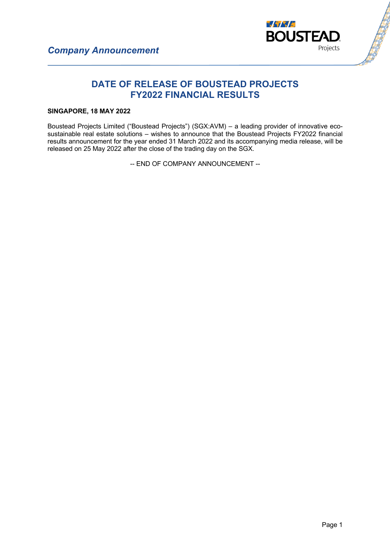

# **DATE OF RELEASE OF BOUSTEAD PROJECTS FY2022 FINANCIAL RESULTS**

### **SINGAPORE, 18 MAY 2022**

Boustead Projects Limited ("Boustead Projects") (SGX:AVM) – a leading provider of innovative ecosustainable real estate solutions – wishes to announce that the Boustead Projects FY2022 financial results announcement for the year ended 31 March 2022 and its accompanying media release, will be released on 25 May 2022 after the close of the trading day on the SGX.

-- END OF COMPANY ANNOUNCEMENT --